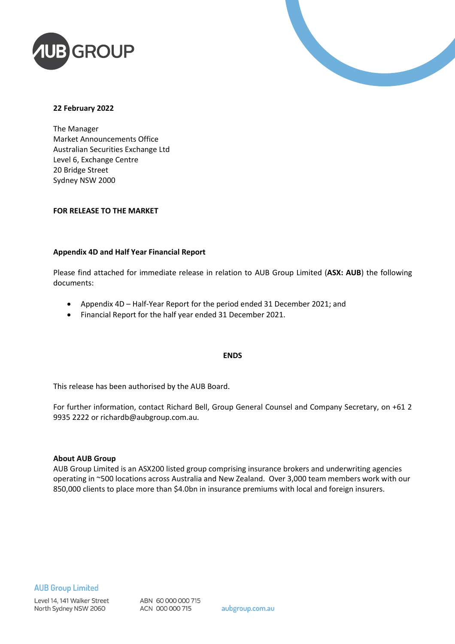



#### **22 February 2022**

The Manager Market Announcements Office Australian Securities Exchange Ltd Level 6, Exchange Centre 20 Bridge Street Sydney NSW 2000

#### **FOR RELEASE TO THE MARKET**

#### **Appendix 4D and Half Year Financial Report**

Please find attached for immediate release in relation to AUB Group Limited (**ASX: AUB**) the following documents:

- Appendix 4D Half-Year Report for the period ended 31 December 2021; and
- Financial Report for the half year ended 31 December 2021.

#### **ENDS**

This release has been authorised by the AUB Board.

For further information, contact Richard Bell, Group General Counsel and Company Secretary, on +61 2 9935 2222 or richardb@aubgroup.com.au.

#### **About AUB Group**

AUB Group Limited is an ASX200 listed group comprising insurance brokers and underwriting agencies operating in ~500 locations across Australia and New Zealand. Over 3,000 team members work with our 850,000 clients to place more than \$4.0bn in insurance premiums with local and foreign insurers.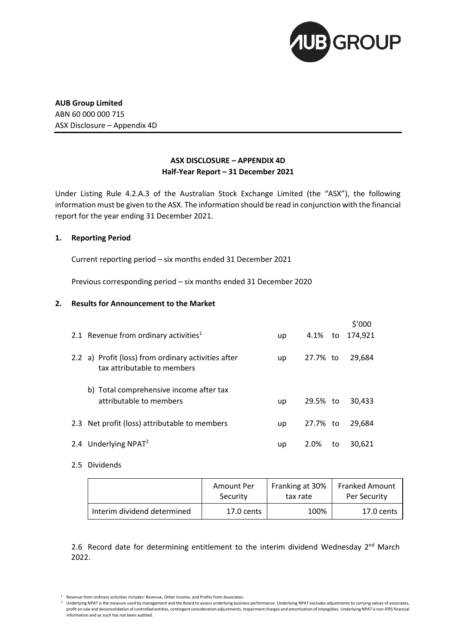

**AUB Group Limited** ABN 60 000 000 715 ASX Disclosure – Appendix 4D

#### **ASX DISCLOSURE – APPENDIX 4D Half-Year Report – 31 December 2021**

Under Listing Rule 4.2.A.3 of the Australian Stock Exchange Limited (the "ASX"), the following information must be given to the ASX. The information should be read in conjunction with the financial report for the year ending 31 December 2021.

#### **1. Reporting Period**

Current reporting period – six months ended 31 December 2021

Previous corresponding period – six months ended 31 December 2020

#### **2. Results for Announcement to the Market**

| 2.1 Revenue from ordinary activities <sup>1</sup>                                  | up | 4.1%     | to | \$′000<br>174.921 |
|------------------------------------------------------------------------------------|----|----------|----|-------------------|
| 2.2 a) Profit (loss) from ordinary activities after<br>tax attributable to members | up | 27.7% to |    | 29,684            |
| b) Total comprehensive income after tax<br>attributable to members                 | up | 29.5% to |    | 30,433            |
| 2.3 Net profit (loss) attributable to members                                      | up | 27.7% to |    | 29,684            |
| 2.4 Underlying NPAT <sup>2</sup>                                                   | up | 2.0%     | to | 30.621            |

2.5 Dividends

|                             | Amount Per   | Franking at 30% | <b>Franked Amount</b> |
|-----------------------------|--------------|-----------------|-----------------------|
|                             | Security     | tax rate        | Per Security          |
| Interim dividend determined | $17.0$ cents | 100%            | 17.0 cents            |

2.6 Record date for determining entitlement to the interim dividend Wednesday 2<sup>nd</sup> March 2022.

<sup>1</sup> Revenue from ordinary activities includes: Revenue, Other income, and Profits from Associates.

Underlying NPAT is the measure used by management and the Board to assess underlying business performance. Underlying NPAT excludes adjustments to carrying values of associates, profit on sale and deconsolidation of controlled entities, contingent consideration adjustments, impairment charges and amortization of intangibles. Underlying NPAT is non-IFRS financial information and as such has not been audited.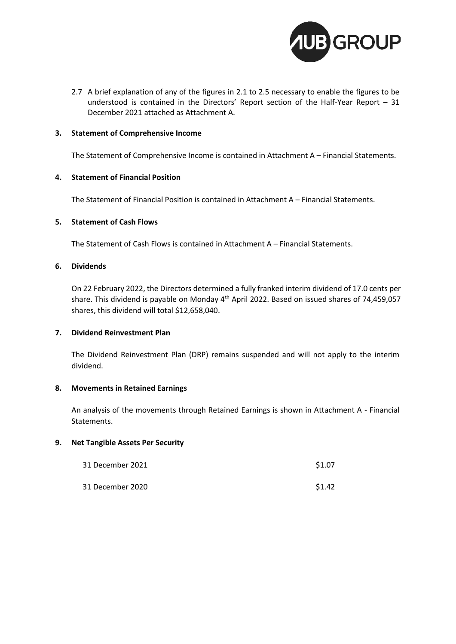

2.7 A brief explanation of any of the figures in 2.1 to 2.5 necessary to enable the figures to be understood is contained in the Directors' Report section of the Half-Year Report – 31 December 2021 attached as Attachment A.

#### **3. Statement of Comprehensive Income**

The Statement of Comprehensive Income is contained in Attachment A – Financial Statements.

#### **4. Statement of Financial Position**

The Statement of Financial Position is contained in Attachment A – Financial Statements.

#### **5. Statement of Cash Flows**

The Statement of Cash Flows is contained in Attachment A – Financial Statements.

#### **6. Dividends**

On 22 February 2022, the Directors determined a fully franked interim dividend of 17.0 cents per share. This dividend is payable on Monday 4<sup>th</sup> April 2022. Based on issued shares of 74,459,057 shares, this dividend will total \$12,658,040.

#### **7. Dividend Reinvestment Plan**

The Dividend Reinvestment Plan (DRP) remains suspended and will not apply to the interim dividend.

#### **8. Movements in Retained Earnings**

An analysis of the movements through Retained Earnings is shown in Attachment A - Financial Statements.

#### **9. Net Tangible Assets Per Security**

| 31 December 2021 | \$1.07 |
|------------------|--------|
| 31 December 2020 | \$1.42 |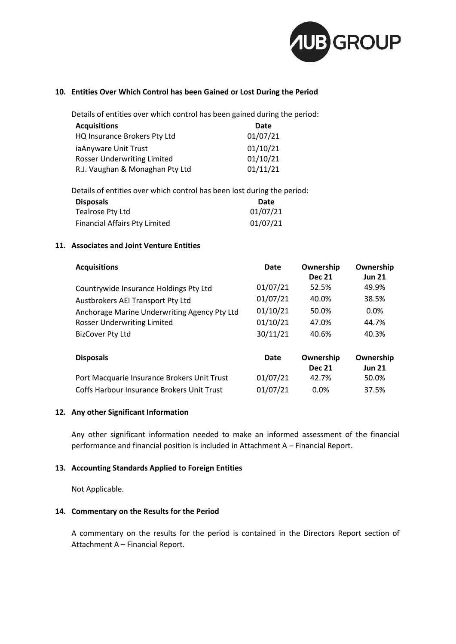

#### **10. Entities Over Which Control has been Gained or Lost During the Period**

Details of entities over which control has been gained during the period:

| <b>Acquisitions</b>                | Date     |
|------------------------------------|----------|
| HQ Insurance Brokers Pty Ltd       | 01/07/21 |
| ia Anyware Unit Trust              | 01/10/21 |
| <b>Rosser Underwriting Limited</b> | 01/10/21 |
| R.J. Vaughan & Monaghan Pty Ltd    | 01/11/21 |

Details of entities over which control has been lost during the period:

| <b>Disposals</b>                     | Date     |
|--------------------------------------|----------|
| Tealrose Pty Ltd                     | 01/07/21 |
| <b>Financial Affairs Pty Limited</b> | 01/07/21 |

#### **11. Associates and Joint Venture Entities**

| <b>Acquisitions</b>                          | Date        | Ownership<br><b>Dec 21</b> | Ownership<br><b>Jun 21</b> |
|----------------------------------------------|-------------|----------------------------|----------------------------|
| Countrywide Insurance Holdings Pty Ltd       | 01/07/21    | 52.5%                      | 49.9%                      |
| Austbrokers AEI Transport Pty Ltd            | 01/07/21    | 40.0%                      | 38.5%                      |
| Anchorage Marine Underwriting Agency Pty Ltd | 01/10/21    | 50.0%                      | $0.0\%$                    |
| Rosser Underwriting Limited                  | 01/10/21    | 47.0%                      | 44.7%                      |
| <b>BizCover Pty Ltd</b>                      | 30/11/21    | 40.6%                      | 40.3%                      |
| <b>Disposals</b>                             | <b>Date</b> | Ownership<br><b>Dec 21</b> | Ownership<br><b>Jun 21</b> |
| Port Macquarie Insurance Brokers Unit Trust  | 01/07/21    | 42.7%                      | 50.0%                      |
| Coffs Harbour Insurance Brokers Unit Trust   | 01/07/21    | 0.0%                       | 37.5%                      |

#### **12. Any other Significant Information**

Any other significant information needed to make an informed assessment of the financial performance and financial position is included in Attachment A – Financial Report.

#### **13. Accounting Standards Applied to Foreign Entities**

Not Applicable.

#### **14. Commentary on the Results for the Period**

A commentary on the results for the period is contained in the Directors Report section of Attachment A – Financial Report.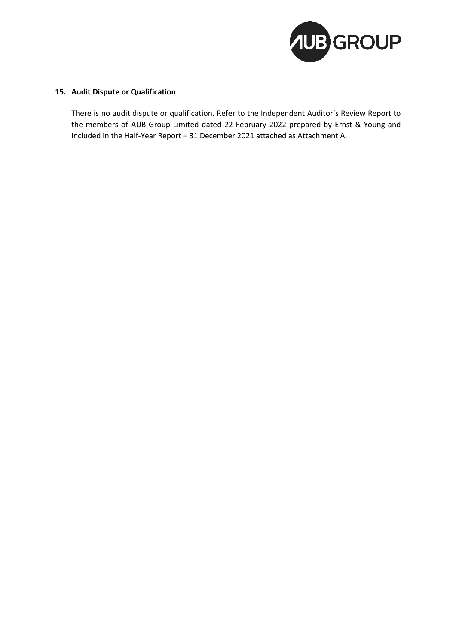

#### **15. Audit Dispute or Qualification**

There is no audit dispute or qualification. Refer to the Independent Auditor's Review Report to the members of AUB Group Limited dated 22 February 2022 prepared by Ernst & Young and included in the Half-Year Report – 31 December 2021 attached as Attachment A.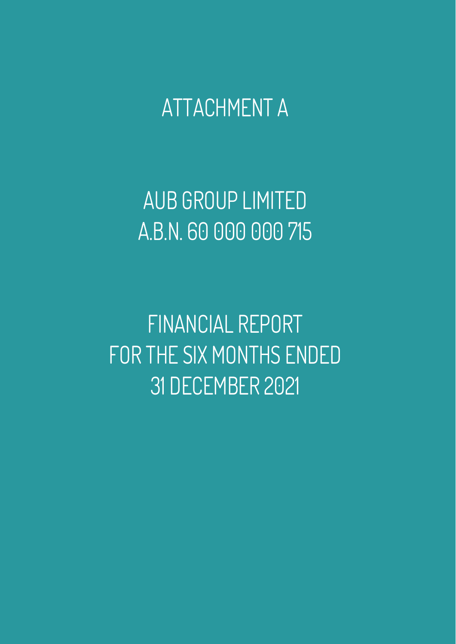ATTACHMENT A

AUB GROUP LIMITED A.B.N. 60 000 000 715

FINANCIAL REPORT FOR THE SIX MONTHS ENDED 31 DECEMBER 2021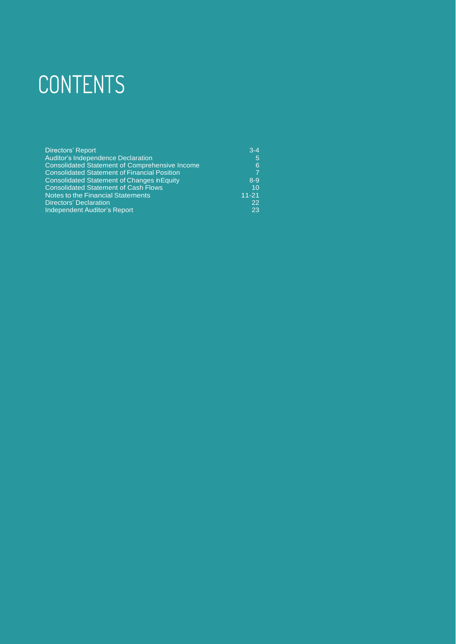# **CONTENTS**

| <b>Directors' Report</b>                              | $3 - 4$   |
|-------------------------------------------------------|-----------|
| <b>Auditor's Independence Declaration</b>             | 5         |
| <b>Consolidated Statement of Comprehensive Income</b> | 6         |
| <b>Consolidated Statement of Financial Position</b>   | 7         |
| <b>Consolidated Statement of Changes nEquity</b>      | $8 - 9$   |
| <b>Consolidated Statement of Cash Flows</b>           | 10        |
| Notes to the Financial Statements                     | $11 - 21$ |
| <b>Directors' Declaration</b>                         | 22        |
| Independent Auditor's Report                          | 23        |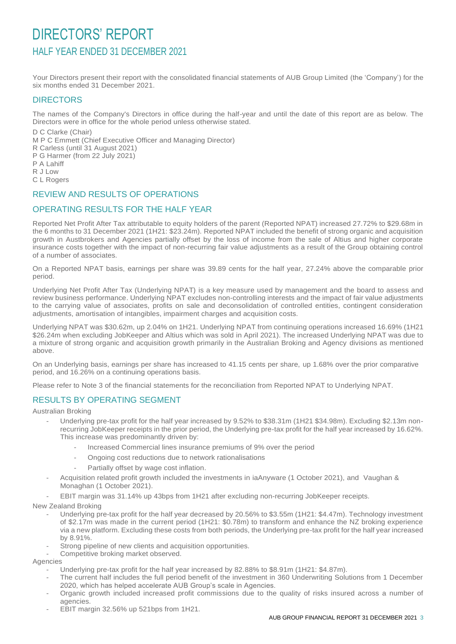## DIRECTORS' REPORT HALF YEAR ENDED 31 DECEMBER 2021

Your Directors present their report with the consolidated financial statements of AUB Group Limited (the 'Company') for the six months ended 31 December 2021.

#### **DIRECTORS**

The names of the Company's Directors in office during the half-year and until the date of this report are as below. The Directors were in office for the whole period unless otherwise stated.

D C Clarke (Chair)

M P C Emmett (Chief Executive Officer and Managing Director)

- R Carless (until 31 August 2021)
- P G Harmer (from 22 July 2021)
- P A Lahiff
- R J Low

C L Rogers

#### REVIEW AND RESULTS OF OPERATIONS

#### OPERATING RESULTS FOR THE HALF YEAR

Reported Net Profit After Tax attributable to equity holders of the parent (Reported NPAT) increased 27.72% to \$29.68m in the 6 months to 31 December 2021 (1H21: \$23.24m). Reported NPAT included the benefit of strong organic and acquisition growth in Austbrokers and Agencies partially offset by the loss of income from the sale of Altius and higher corporate insurance costs together with the impact of non-recurring fair value adjustments as a result of the Group obtaining control of a number of associates.

On a Reported NPAT basis, earnings per share was 39.89 cents for the half year, 27.24% above the comparable prior period.

Underlying Net Profit After Tax (Underlying NPAT) is a key measure used by management and the board to assess and review business performance. Underlying NPAT excludes non-controlling interests and the impact of fair value adjustments to the carrying value of associates, profits on sale and deconsolidation of controlled entities, contingent consideration adjustments, amortisation of intangibles, impairment charges and acquisition costs.

Underlying NPAT was \$30.62m, up 2.04% on 1H21. Underlying NPAT from continuing operations increased 16.69% (1H21 \$26.24m when excluding JobKeeper and Altius which was sold in April 2021). The increased Underlying NPAT was due to a mixture of strong organic and acquisition growth primarily in the Australian Broking and Agency divisions as mentioned above.

On an Underlying basis, earnings per share has increased to 41.15 cents per share, up 1.68% over the prior comparative period, and 16.26% on a continuing operations basis.

Please refer to Note 3 of the financial statements for the reconciliation from Reported NPAT to Underlying NPAT.

#### RESULTS BY OPERATING SEGMENT

Australian Broking

- Underlying pre-tax profit for the half year increased by 9.52% to \$38.31m (1H21 \$34.98m). Excluding \$2.13m nonrecurring JobKeeper receipts in the prior period, the Underlying pre-tax profit for the half year increased by 16.62%. This increase was predominantly driven by:
	- Increased Commercial lines insurance premiums of 9% over the period
	- Ongoing cost reductions due to network rationalisations
	- Partially offset by wage cost inflation.
- Acquisition related profit growth included the investments in iaAnyware (1 October 2021), and Vaughan & Monaghan (1 October 2021).
- EBIT margin was 31.14% up 43bps from 1H21 after excluding non-recurring JobKeeper receipts.

New Zealand Broking

- Underlying pre-tax profit for the half year decreased by 20.56% to \$3.55m (1H21: \$4.47m). Technology investment of \$2.17m was made in the current period (1H21: \$0.78m) to transform and enhance the NZ broking experience via a new platform. Excluding these costs from both periods, the Underlying pre-tax profit for the half year increased by 8.91%.
- Strong pipeline of new clients and acquisition opportunities.
- Competitive broking market observed.

Agencies

- Underlying pre-tax profit for the half year increased by 82.88% to \$8.91m (1H21: \$4.87m).
- The current half includes the full period benefit of the investment in 360 Underwriting Solutions from 1 December 2020, which has helped accelerate AUB Group's scale in Agencies.
- Organic growth included increased profit commissions due to the quality of risks insured across a number of agencies.
- EBIT margin 32.56% up 521bps from 1H21.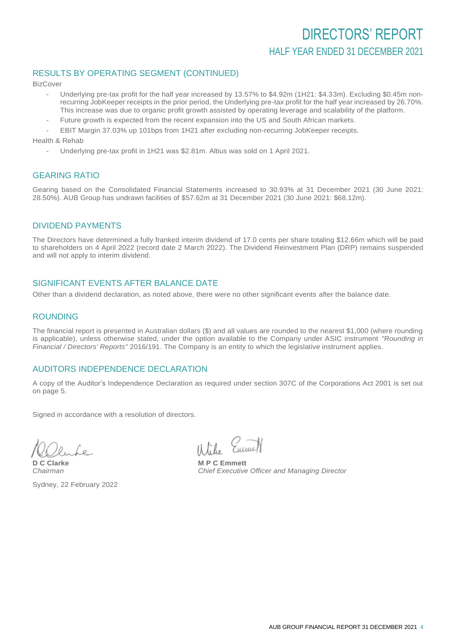## DIRECTORS' REPORT HALF YEAR ENDED 31 DECEMBER 2021

#### RESULTS BY OPERATING SEGMENT (CONTINUED)

BizCover

- Underlying pre-tax profit for the half year increased by 13.57% to \$4.92m (1H21: \$4.33m). Excluding \$0.45m nonrecurring JobKeeper receipts in the prior period, the Underlying pre-tax profit for the half year increased by 26.70%. This increase was due to organic profit growth assisted by operating leverage and scalability of the platform.
- Future growth is expected from the recent expansion into the US and South African markets.
- EBIT Margin 37.03% up 101bps from 1H21 after excluding non-recurring JobKeeper receipts.

Health & Rehab

- Underlying pre-tax profit in 1H21 was \$2.81m. Altius was sold on 1 April 2021.

#### GEARING RATIO

Gearing based on the Consolidated Financial Statements increased to 30.93% at 31 December 2021 (30 June 2021: 28.50%). AUB Group has undrawn facilities of \$57.62m at 31 December 2021 (30 June 2021: \$68.12m).

#### DIVIDEND PAYMENTS

The Directors have determined a fully franked interim dividend of 17.0 cents per share totaling \$12.66m which will be paid to shareholders on 4 April 2022 (record date 2 March 2022). The Dividend Reinvestment Plan (DRP) remains suspended and will not apply to interim dividend.

#### SIGNIFICANT EVENTS AFTER BALANCE DATE

Other than a dividend declaration, as noted above, there were no other significant events after the balance date.

### **ROUNDING**

The financial report is presented in Australian dollars (\$) and all values are rounded to the nearest \$1,000 (where rounding is applicable), unless otherwise stated, under the option available to the Company under ASIC instrument *"Rounding in Financial / Directors' Reports"* 2016/191. The Company is an entity to which the legislative instrument applies.

#### AUDITORS INDEPENDENCE DECLARATION

A copy of the Auditor's Independence Declaration as required under section 307C of the Corporations Act 2001 is set out on page 5.

Signed in accordance with a resolution of directors.

**D C Clarke M P C Emmett**<br> **Chairman Chairman Chairman** 

Sydney, 22 February 2022

はたん

**Chief Executive Officer and Managing Director**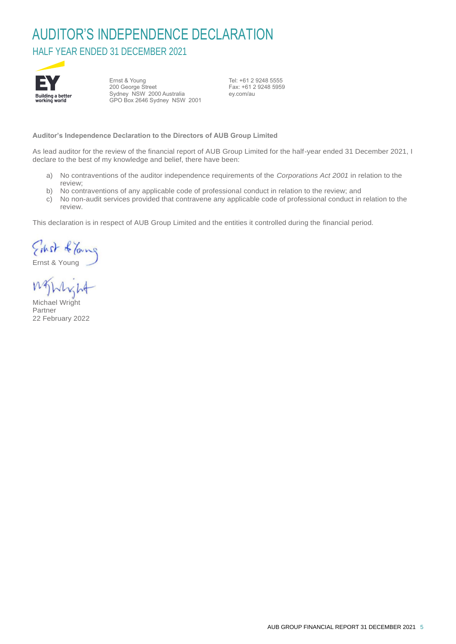## AUDITOR'S INDEPENDENCE DECLARATION HALF YEAR ENDED 31 DECEMBER 2021



Ernst & Young 200 George Street Sydney NSW 2000 Australia GPO Box 2646 Sydney NSW 2001 Tel: +61 2 9248 5555 Fax: +61 2 9248 5959 ey.com/au

**Auditor's Independence Declaration to the Directors of AUB Group Limited** 

As lead auditor for the review of the financial report of AUB Group Limited for the half-year ended 31 December 2021, I declare to the best of my knowledge and belief, there have been:

- a) No contraventions of the auditor independence requirements of the *Corporations Act 2001* in relation to the review;
- b) No contraventions of any applicable code of professional conduct in relation to the review; and
- c) No non-audit services provided that contravene any applicable code of professional conduct in relation to the review.

This declaration is in respect of AUB Group Limited and the entities it controlled during the financial period.

Ernst & Young

MAWH

Michael Wright Partner 22 February 2022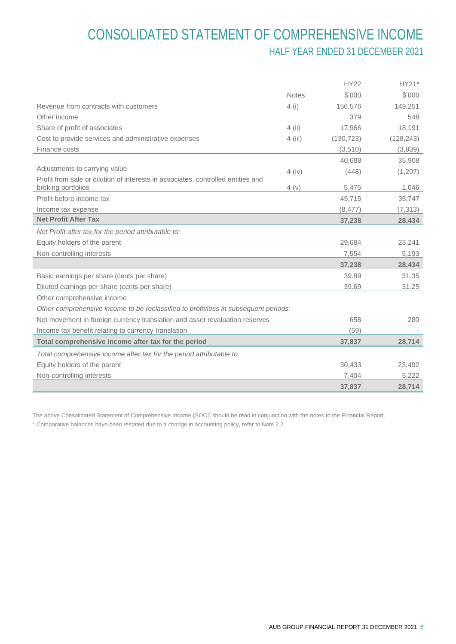## CONSOLIDATED STATEMENT OF COMPREHENSIVE INCOME HALF YEAR ENDED 31 DECEMBER 2021

|                                                                                                        |              | <b>HY22</b> | HY21*      |
|--------------------------------------------------------------------------------------------------------|--------------|-------------|------------|
|                                                                                                        | <b>Notes</b> | \$'000      | \$'000     |
| Revenue from contracts with customers                                                                  | 4(i)         | 156,576     | 149,251    |
| Other income                                                                                           |              | 379         | 548        |
| Share of profit of associates                                                                          | $4$ (ii)     | 17.966      | 18,191     |
| Cost to provide services and administrative expenses                                                   | 4 (iii)      | (130, 723)  | (128, 243) |
| Finance costs                                                                                          |              | (3,510)     | (3,839)    |
|                                                                                                        |              | 40,688      | 35,908     |
| Adjustments to carrying value                                                                          | $4$ (iv)     | (448)       | (1,207)    |
| Profit from sale or dilution of interests in associates, controlled entities and<br>broking portfolios | 4(v)         | 5,475       | 1,046      |
| Profit before income tax                                                                               |              | 45,715      | 35,747     |
| Income tax expense                                                                                     |              | (8, 477)    | (7, 313)   |
| <b>Net Profit After Tax</b>                                                                            |              | 37,238      | 28,434     |
| Net Profit after tax for the period attributable to:                                                   |              |             |            |
| Equity holders of the parent                                                                           |              | 29,684      | 23,241     |
| Non-controlling interests                                                                              |              | 7,554       | 5,193      |
|                                                                                                        |              | 37,238      | 28,434     |
| Basic earnings per share (cents per share)                                                             |              | 39.89       | 31.35      |
| Diluted earnings per share (cents per share)                                                           |              | 39.69       | 31.25      |
| Other comprehensive income                                                                             |              |             |            |
| Other comprehensive income to be reclassified to profit/loss in subsequent periods:                    |              |             |            |
| Net movement in foreign currency translation and asset revaluation reserves                            |              | 658         | 280        |
| Income tax benefit relating to currency translation                                                    |              | (59)        |            |
| Total comprehensive income after tax for the period                                                    |              | 37,837      | 28,714     |
| Total comprehensive income after tax for the period attributable to:                                   |              |             |            |
| Equity holders of the parent                                                                           |              | 30,433      | 23,492     |
| Non-controlling interests                                                                              |              | 7,404       | 5,222      |
|                                                                                                        |              | 37,837      | 28,714     |

The above Consolidated Statement of Comprehensive Income (SOCI) should be read in conjunction with the notes to the Financial Report.

\* Comparative balances have been restated due to a change in accounting policy, refer to Note 2.2.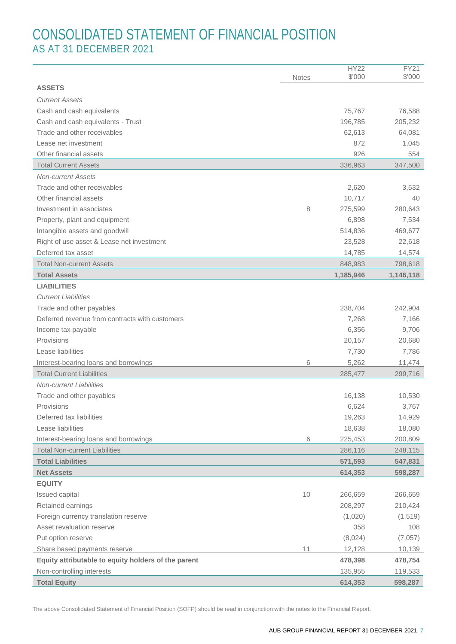## CONSOLIDATED STATEMENT OF FINANCIAL POSITION AS AT 31 DECEMBER 2021

|                                                     | <b>Notes</b> | <b>HY22</b><br>\$'000 | FY21<br>\$'000   |
|-----------------------------------------------------|--------------|-----------------------|------------------|
| <b>ASSETS</b>                                       |              |                       |                  |
| <b>Current Assets</b>                               |              |                       |                  |
| Cash and cash equivalents                           |              | 75,767                | 76,588           |
| Cash and cash equivalents - Trust                   |              | 196,785               | 205,232          |
| Trade and other receivables                         |              | 62,613                | 64,081           |
| Lease net investment                                |              | 872                   | 1,045            |
| Other financial assets                              |              | 926                   | 554              |
| <b>Total Current Assets</b>                         |              | 336,963               | 347,500          |
| <b>Non-current Assets</b>                           |              |                       |                  |
| Trade and other receivables                         |              | 2,620                 | 3,532            |
| Other financial assets                              |              | 10,717                | 40               |
| Investment in associates                            | 8            | 275,599               | 280,643          |
| Property, plant and equipment                       |              | 6,898                 | 7,534            |
| Intangible assets and goodwill                      |              | 514,836               | 469,677          |
| Right of use asset & Lease net investment           |              | 23,528                | 22,618           |
| Deferred tax asset                                  |              | 14,785                | 14,574           |
| <b>Total Non-current Assets</b>                     |              | 848,983               | 798,618          |
| <b>Total Assets</b>                                 |              | 1,185,946             | 1,146,118        |
| <b>LIABILITIES</b>                                  |              |                       |                  |
| <b>Current Liabilities</b>                          |              |                       |                  |
| Trade and other payables                            |              | 238,704               | 242,904          |
| Deferred revenue from contracts with customers      |              | 7,268                 | 7,166            |
| Income tax payable                                  |              | 6,356                 | 9,706            |
| Provisions                                          |              | 20,157                | 20,680           |
| Lease liabilities                                   |              | 7,730                 | 7,786            |
| Interest-bearing loans and borrowings               | 6            | 5,262                 | 11,474           |
| <b>Total Current Liabilities</b>                    |              | 285,477               | 299,716          |
| <b>Non-current Liabilities</b>                      |              |                       |                  |
| Trade and other payables                            |              | 16,138                | 10,530           |
| Provisions<br>Deferred tax liabilities              |              | 6,624                 | 3,767            |
| Lease liabilities                                   |              | 19,263<br>18,638      | 14,929<br>18,080 |
| Interest-bearing loans and borrowings               | 6            | 225,453               | 200,809          |
| <b>Total Non-current Liabilities</b>                |              | 286,116               | 248,115          |
| <b>Total Liabilities</b>                            |              | 571,593               | 547,831          |
| <b>Net Assets</b>                                   |              | 614,353               | 598,287          |
| <b>EQUITY</b>                                       |              |                       |                  |
| Issued capital                                      | 10           | 266,659               | 266,659          |
| Retained earnings                                   |              | 208,297               | 210,424          |
| Foreign currency translation reserve                |              | (1,020)               | (1,519)          |
| Asset revaluation reserve                           |              | 358                   | 108              |
| Put option reserve                                  |              | (8,024)               | (7,057)          |
| Share based payments reserve                        | 11           | 12,128                | 10,139           |
| Equity attributable to equity holders of the parent |              | 478,398               | 478,754          |
| Non-controlling interests                           |              | 135,955               | 119,533          |
| <b>Total Equity</b>                                 |              | 614,353               | 598,287          |
|                                                     |              |                       |                  |

The above Consolidated Statement of Financial Position (SOFP) should be read in conjunction with the notes to the Financial Report.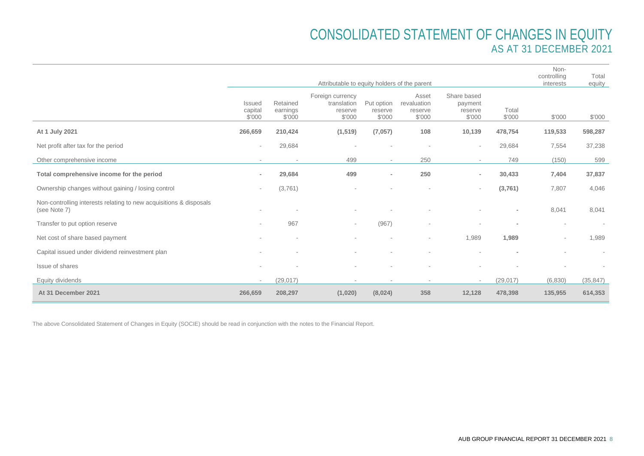## CONSOLIDATED STATEMENT OF CHANGES IN EQUITY AS AT 31 DECEMBER 2021

|                                                                                    |                                    |                                | Attributable to equity holders of the parent         |                                 |                                           |                                             |                 | Non-<br>controlling<br>interests | Total<br>equity |
|------------------------------------------------------------------------------------|------------------------------------|--------------------------------|------------------------------------------------------|---------------------------------|-------------------------------------------|---------------------------------------------|-----------------|----------------------------------|-----------------|
|                                                                                    | <b>Issued</b><br>capital<br>\$'000 | Retained<br>earnings<br>\$'000 | Foreign currency<br>translation<br>reserve<br>\$'000 | Put option<br>reserve<br>\$'000 | Asset<br>revaluation<br>reserve<br>\$'000 | Share based<br>payment<br>reserve<br>\$'000 | Total<br>\$'000 | \$'000                           | \$'000          |
| At 1 July 2021                                                                     | 266,659                            | 210,424                        | (1, 519)                                             | (7,057)                         | 108                                       | 10,139                                      | 478,754         | 119,533                          | 598,287         |
| Net profit after tax for the period                                                |                                    | 29,684                         |                                                      |                                 |                                           |                                             | 29,684          | 7,554                            | 37,238          |
| Other comprehensive income                                                         |                                    | $\sim$                         | 499                                                  | $\overline{\phantom{a}}$        | 250                                       | $\sim$                                      | 749             | (150)                            | 599             |
| Total comprehensive income for the period                                          | $\blacksquare$                     | 29,684                         | 499                                                  | $\overline{\phantom{a}}$        | 250                                       | $\overline{\phantom{a}}$                    | 30,433          | 7,404                            | 37,837          |
| Ownership changes without gaining / losing control                                 | $\overline{\phantom{a}}$           | (3,761)                        |                                                      |                                 |                                           | $\sim$                                      | (3,761)         | 7,807                            | 4,046           |
| Non-controlling interests relating to new acquisitions & disposals<br>(see Note 7) |                                    |                                |                                                      |                                 |                                           |                                             |                 | 8,041                            | 8,041           |
| Transfer to put option reserve                                                     | $\overline{\phantom{a}}$           | 967                            | $\sim$                                               | (967)                           | ٠                                         |                                             |                 |                                  | $\sim$          |
| Net cost of share based payment                                                    |                                    |                                |                                                      | $\overline{\phantom{a}}$        | ٠                                         | 1,989                                       | 1,989           |                                  | 1,989           |
| Capital issued under dividend reinvestment plan                                    |                                    |                                |                                                      |                                 |                                           |                                             |                 |                                  | $\sim$          |
| Issue of shares                                                                    |                                    |                                |                                                      |                                 |                                           |                                             |                 |                                  |                 |
| Equity dividends                                                                   | $\overline{\phantom{a}}$           | (29, 017)                      |                                                      | ۰                               | ٠                                         | $\overline{\phantom{a}}$                    | (29, 017)       | (6,830)                          | (35, 847)       |
| At 31 December 2021                                                                | 266,659                            | 208,297                        | (1,020)                                              | (8,024)                         | 358                                       | 12,128                                      | 478,398         | 135,955                          | 614,353         |

The above Consolidated Statement of Changes in Equity (SOCIE) should be read in conjunction with the notes to the Financial Report.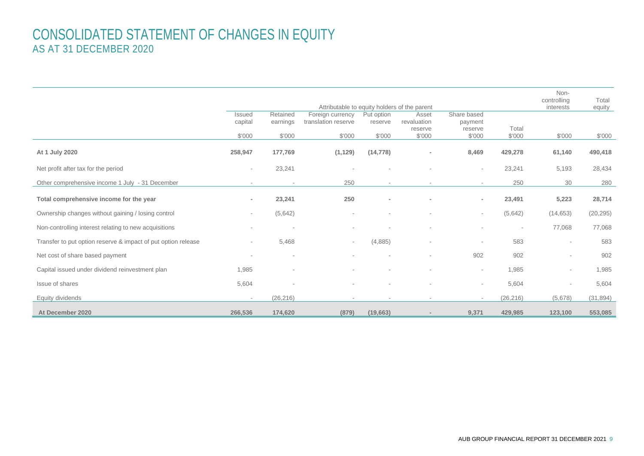## CONSOLIDATED STATEMENT OF CHANGES IN EQUITY AS AT 31 DECEMBER 2020

|                                                               |                   |                      | Attributable to equity holders of the parent |                          |                                 |                                   |                | Non-<br>controlling<br>interests | Total     |
|---------------------------------------------------------------|-------------------|----------------------|----------------------------------------------|--------------------------|---------------------------------|-----------------------------------|----------------|----------------------------------|-----------|
|                                                               | Issued<br>capital | Retained<br>earnings | Foreign currency<br>translation reserve      | Put option<br>reserve    | Asset<br>revaluation<br>reserve | Share based<br>payment<br>reserve | Total          |                                  | equity    |
|                                                               | \$'000            | \$'000               | \$'000                                       | \$'000                   | \$'000                          | \$'000                            | \$'000         | \$'000                           | \$'000    |
| At 1 July 2020                                                | 258,947           | 177,769              | (1, 129)                                     | (14, 778)                | $\qquad \qquad \blacksquare$    | 8,469                             | 429,278        | 61,140                           | 490,418   |
| Net profit after tax for the period                           | $\sim$            | 23,241               |                                              |                          |                                 | $\sim$                            | 23,241         | 5,193                            | 28,434    |
| Other comprehensive income 1 July - 31 December               |                   | $\sim$               | 250                                          | $\sim$                   |                                 | $\sim$                            | 250            | 30                               | 280       |
| Total comprehensive income for the year                       | $\sim$            | 23,241               | 250                                          | $\overline{\phantom{a}}$ | $\blacksquare$                  | $\sim$                            | 23,491         | 5,223                            | 28,714    |
| Ownership changes without gaining / losing control            | $\sim$            | (5,642)              | $\sim$                                       |                          |                                 | $\sim$                            | (5,642)        | (14, 653)                        | (20, 295) |
| Non-controlling interest relating to new acquisitions         |                   | $\sim$               |                                              |                          |                                 | $\sim$                            | $\blacksquare$ | 77,068                           | 77,068    |
| Transfer to put option reserve & impact of put option release | $\sim$            | 5,468                | $\sim$                                       | (4,885)                  | $\sim$                          | $\sim$                            | 583            | $\overline{\phantom{a}}$         | 583       |
| Net cost of share based payment                               |                   | $\sim$               | $\sim$                                       | $\sim$                   | $\overline{\phantom{a}}$        | 902                               | 902            | $\overline{\phantom{a}}$         | 902       |
| Capital issued under dividend reinvestment plan               | 1,985             | $\sim$               |                                              |                          | ٠                               | $\sim$                            | 1,985          | $\overline{\phantom{a}}$         | 1,985     |
| Issue of shares                                               | 5,604             |                      |                                              |                          |                                 | $\sim$                            | 5,604          |                                  | 5,604     |
| Equity dividends                                              | $\sim$            | (26, 216)            | $\sim$                                       |                          | $\overline{\phantom{a}}$        | $\sim$                            | (26, 216)      | (5,678)                          | (31, 894) |
| At December 2020                                              | 266,536           | 174,620              | (879)                                        | (19,663)                 |                                 | 9,371                             | 429,985        | 123,100                          | 553,085   |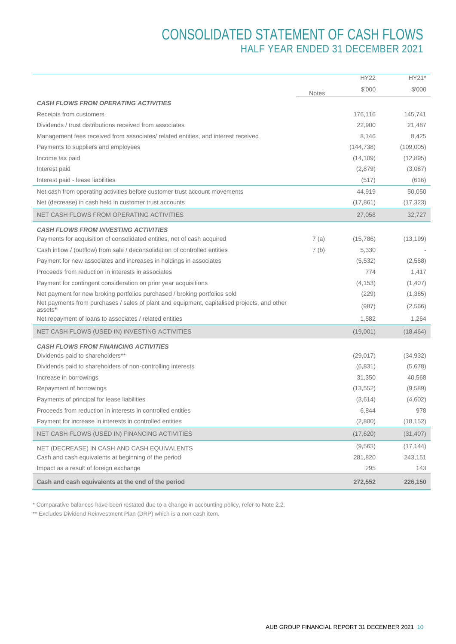## CONSOLIDATED STATEMENT OF CASH FLOWS HALF YEAR ENDED 31 DECEMBER 2021

|                                                                                                        |              | <b>HY22</b> | HY21*     |
|--------------------------------------------------------------------------------------------------------|--------------|-------------|-----------|
|                                                                                                        | <b>Notes</b> | \$'000      | \$'000    |
| <b>CASH FLOWS FROM OPERATING ACTIVITIES</b>                                                            |              |             |           |
| Receipts from customers                                                                                |              | 176,116     | 145,741   |
| Dividends / trust distributions received from associates                                               |              | 22,900      | 21,487    |
| Management fees received from associates/ related entities, and interest received                      |              | 8,146       | 8,425     |
| Payments to suppliers and employees                                                                    |              | (144, 738)  | (109,005) |
| Income tax paid                                                                                        |              | (14, 109)   | (12, 895) |
| Interest paid                                                                                          |              | (2,879)     | (3,087)   |
| Interest paid - lease liabilities                                                                      |              | (517)       | (616)     |
| Net cash from operating activities before customer trust account movements                             |              | 44,919      | 50,050    |
| Net (decrease) in cash held in customer trust accounts                                                 |              | (17, 861)   | (17, 323) |
| NET CASH FLOWS FROM OPERATING ACTIVITIES                                                               |              | 27,058      | 32,727    |
| <b>CASH FLOWS FROM INVESTING ACTIVITIES</b>                                                            |              |             |           |
| Payments for acquisition of consolidated entities, net of cash acquired                                | 7(a)         | (15,786)    | (13, 199) |
| Cash inflow / (outflow) from sale / deconsolidation of controlled entities                             | 7(b)         | 5,330       |           |
| Payment for new associates and increases in holdings in associates                                     |              | (5,532)     | (2,588)   |
| Proceeds from reduction in interests in associates                                                     |              | 774         | 1,417     |
| Payment for contingent consideration on prior year acquisitions                                        |              | (4, 153)    | (1,407)   |
| Net payment for new broking portfolios purchased / broking portfolios sold                             |              | (229)       | (1,385)   |
| Net payments from purchases / sales of plant and equipment, capitalised projects, and other<br>assets* |              | (987)       | (2,566)   |
| Net repayment of loans to associates / related entities                                                |              | 1,582       | 1,264     |
| NET CASH FLOWS (USED IN) INVESTING ACTIVITIES                                                          |              | (19,001)    | (18, 464) |
| <b>CASH FLOWS FROM FINANCING ACTIVITIES</b>                                                            |              |             |           |
| Dividends paid to shareholders**                                                                       |              | (29, 017)   | (34, 932) |
| Dividends paid to shareholders of non-controlling interests                                            |              | (6,831)     | (5,678)   |
| Increase in borrowings                                                                                 |              | 31,350      | 40,568    |
| Repayment of borrowings                                                                                |              | (13, 552)   | (9,589)   |
| Payments of principal for lease liabilities                                                            |              | (3,614)     | (4,602)   |
| Proceeds from reduction in interests in controlled entities                                            |              | 6,844       | 978       |
| Payment for increase in interests in controlled entities                                               |              | (2,800)     | (18, 152) |
| NET CASH FLOWS (USED IN) FINANCING ACTIVITIES                                                          |              | (17,620)    | (31, 407) |
| NET (DECREASE) IN CASH AND CASH EQUIVALENTS                                                            |              | (9, 563)    | (17, 144) |
| Cash and cash equivalents at beginning of the period                                                   |              | 281,820     | 243,151   |
| Impact as a result of foreign exchange                                                                 |              | 295         | 143       |
| Cash and cash equivalents at the end of the period                                                     |              | 272,552     | 226,150   |

\* Comparative balances have been restated due to a change in accounting policy, refer to Note 2.2.

\*\* Excludes Dividend Reinvestment Plan (DRP) which is a non-cash item.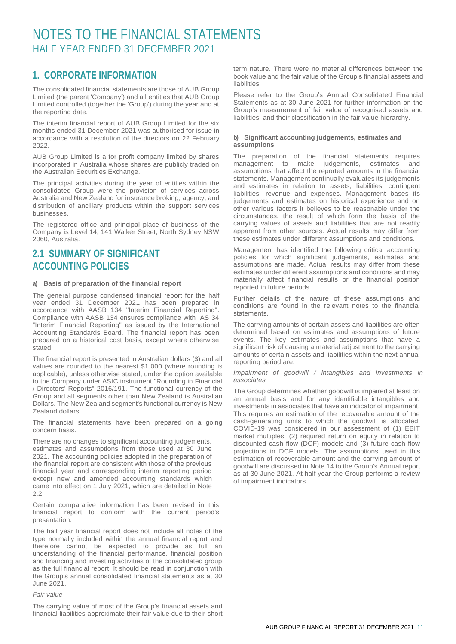### **1. CORPORATE INFORMATION**

The consolidated financial statements are those of AUB Group Limited (the parent 'Company') and all entities that AUB Group Limited controlled (together the 'Group') during the year and at the reporting date.

The interim financial report of AUB Group Limited for the six months ended 31 December 2021 was authorised for issue in accordance with a resolution of the directors on 22 February 2022.

AUB Group Limited is a for profit company limited by shares incorporated in Australia whose shares are publicly traded on the Australian Securities Exchange.

The principal activities during the year of entities within the consolidated Group were the provision of services across Australia and New Zealand for insurance broking, agency, and distribution of ancillary products within the support services businesses.

The registered office and principal place of business of the Company is Level 14, 141 Walker Street, North Sydney NSW 2060, Australia.

### **2.1 SUMMARY OF SIGNIFICANT ACCOUNTING POLICIES**

#### **a) Basis of preparation of the financial report**

The general purpose condensed financial report for the half year ended 31 December 2021 has been prepared in accordance with AASB 134 "Interim Financial Reporting". Compliance with AASB 134 ensures compliance with IAS 34 "Interim Financial Reporting" as issued by the International Accounting Standards Board. The financial report has been prepared on a historical cost basis, except where otherwise stated.

The financial report is presented in Australian dollars (\$) and all values are rounded to the nearest \$1,000 (where rounding is applicable), unless otherwise stated, under the option available to the Company under ASIC instrument "Rounding in Financial / Directors' Reports" 2016/191. The functional currency of the Group and all segments other than New Zealand is Australian Dollars. The New Zealand segment's functional currency is New Zealand dollars.

The financial statements have been prepared on a going concern basis.

There are no changes to significant accounting judgements, estimates and assumptions from those used at 30 June 2021. The accounting policies adopted in the preparation of the financial report are consistent with those of the previous financial year and corresponding interim reporting period except new and amended accounting standards which came into effect on 1 July 2021, which are detailed in Note 2.2.

Certain comparative information has been revised in this financial report to conform with the current period's presentation.

The half year financial report does not include all notes of the type normally included within the annual financial report and therefore cannot be expected to provide as full an understanding of the financial performance, financial position and financing and investing activities of the consolidated group as the full financial report. It should be read in conjunction with the Group's annual consolidated financial statements as at 30 June 2021.

#### *Fair value*

The carrying value of most of the Group's financial assets and financial liabilities approximate their fair value due to their short

term nature. There were no material differences between the book value and the fair value of the Group's financial assets and **liabilities** 

Please refer to the Group's Annual Consolidated Financial Statements as at 30 June 2021 for further information on the Group's measurement of fair value of recognised assets and liabilities, and their classification in the fair value hierarchy.

#### **b) Significant accounting judgements, estimates and assumptions**

The preparation of the financial statements requires management to make judgements, estimates and assumptions that affect the reported amounts in the financial statements. Management continually evaluates its judgements and estimates in relation to assets, liabilities, contingent liabilities, revenue and expenses. Management bases its judgements and estimates on historical experience and on other various factors it believes to be reasonable under the circumstances, the result of which form the basis of the carrying values of assets and liabilities that are not readily apparent from other sources. Actual results may differ from these estimates under different assumptions and conditions.

Management has identified the following critical accounting policies for which significant judgements, estimates and assumptions are made. Actual results may differ from these estimates under different assumptions and conditions and may materially affect financial results or the financial position reported in future periods.

Further details of the nature of these assumptions and conditions are found in the relevant notes to the financial statements.

The carrying amounts of certain assets and liabilities are often determined based on estimates and assumptions of future events. The key estimates and assumptions that have a significant risk of causing a material adjustment to the carrying amounts of certain assets and liabilities within the next annual reporting period are:

#### *Impairment of goodwill / intangibles and investments in associates*

The Group determines whether goodwill is impaired at least on an annual basis and for any identifiable intangibles and investments in associates that have an indicator of impairment. This requires an estimation of the recoverable amount of the cash-generating units to which the goodwill is allocated. COVID-19 was considered in our assessment of (1) EBIT market multiples, (2) required return on equity in relation to discounted cash flow (DCF) models and (3) future cash flow projections in DCF models. The assumptions used in this estimation of recoverable amount and the carrying amount of goodwill are discussed in Note 14 to the Group's Annual report as at 30 June 2021. At half year the Group performs a review of impairment indicators.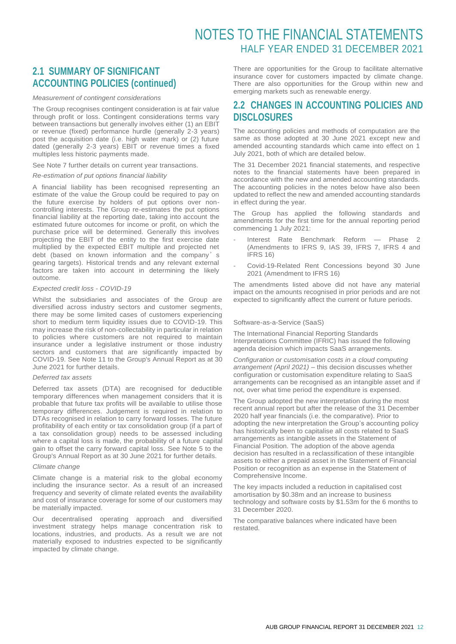### **2.1 SUMMARY OF SIGNIFICANT ACCOUNTING POLICIES (continued)**

#### *Measurement of contingent considerations*

The Group recognises contingent consideration is at fair value through profit or loss. Contingent considerations terms vary between transactions but generally involves either (1) an EBIT or revenue (fixed) performance hurdle (generally 2-3 years) post the acquisition date (i.e. high water mark) or (2) future dated (generally 2-3 years) EBIT or revenue times a fixed multiples less historic payments made.

See Note 7 further details on current year transactions.

#### *Re-estimation of put options financial liability*

A financial liability has been recognised representing an estimate of the value the Group could be required to pay on the future exercise by holders of put options over noncontrolling interests. The Group re-estimates the put options financial liability at the reporting date, taking into account the estimated future outcomes for income or profit, on which the purchase price will be determined. Generally this involves projecting the EBIT of the entity to the first exercise date multiplied by the expected EBIT multiple and projected net debt (based on known information and the company's gearing targets). Historical trends and any relevant external factors are taken into account in determining the likely outcome.

#### *Expected credit loss - COVID-19*

Whilst the subsidiaries and associates of the Group are diversified across industry sectors and customer segments, there may be some limited cases of customers experiencing short to medium term liquidity issues due to COVID-19. This may increase the risk of non-collectability in particular in relation to policies where customers are not required to maintain insurance under a legislative instrument or those industry sectors and customers that are significantly impacted by COVID-19. See Note 11 to the Group's Annual Report as at 30 June 2021 for further details.

#### *Deferred tax assets*

Deferred tax assets (DTA) are recognised for deductible temporary differences when management considers that it is probable that future tax profits will be available to utilise those temporary differences. Judgement is required in relation to DTAs recognised in relation to carry forward losses. The future profitability of each entity or tax consolidation group (if a part of a tax consolidation group) needs to be assessed including where a capital loss is made, the probability of a future capital gain to offset the carry forward capital loss. See Note 5 to the Group's Annual Report as at 30 June 2021 for further details.

#### *Climate change*

Climate change is a material risk to the global economy including the insurance sector. As a result of an increased frequency and severity of climate related events the availability and cost of insurance coverage for some of our customers may be materially impacted.

Our decentralised operating approach and diversified investment strategy helps manage concentration risk to locations, industries, and products. As a result we are not materially exposed to industries expected to be significantly impacted by climate change.

There are opportunities for the Group to facilitate alternative insurance cover for customers impacted by climate change. There are also opportunities for the Group within new and emerging markets such as renewable energy.

### **2.2 CHANGES IN ACCOUNTING POLICIES AND DISCLOSURES**

The accounting policies and methods of computation are the same as those adopted at 30 June 2021 except new and amended accounting standards which came into effect on 1 July 2021, both of which are detailed below.

The 31 December 2021 financial statements, and respective notes to the financial statements have been prepared in accordance with the new and amended accounting standards. The accounting policies in the notes below have also been updated to reflect the new and amended accounting standards in effect during the year.

The Group has applied the following standards and amendments for the first time for the annual reporting period commencing 1 July 2021:

- Interest Rate Benchmark Reform Phase 2 (Amendments to IFRS 9, IAS 39, IFRS 7, IFRS 4 and IFRS 16)
- Covid-19-Related Rent Concessions beyond 30 June 2021 (Amendment to IFRS 16)

The amendments listed above did not have any material impact on the amounts recognised in prior periods and are not expected to significantly affect the current or future periods.

#### Software-as-a-Service (SaaS)

The International Financial Reporting Standards Interpretations Committee (IFRIC) has issued the following agenda decision which impacts SaaS arrangements.

*Configuration or customisation costs in a cloud computing arrangement (April 2021)* – this decision discusses whether configuration or customisation expenditure relating to SaaS arrangements can be recognised as an intangible asset and if not, over what time period the expenditure is expensed.

The Group adopted the new interpretation during the most recent annual report but after the release of the 31 December 2020 half year financials (i.e. the comparative). Prior to adopting the new interpretation the Group's accounting policy has historically been to capitalise all costs related to SaaS arrangements as intangible assets in the Statement of Financial Position. The adoption of the above agenda decision has resulted in a reclassification of these intangible assets to either a prepaid asset in the Statement of Financial Position or recognition as an expense in the Statement of Comprehensive Income.

The key impacts included a reduction in capitalised cost amortisation by \$0.38m and an increase to business technology and software costs by \$1.53m for the 6 months to 31 December 2020.

The comparative balances where indicated have been restated.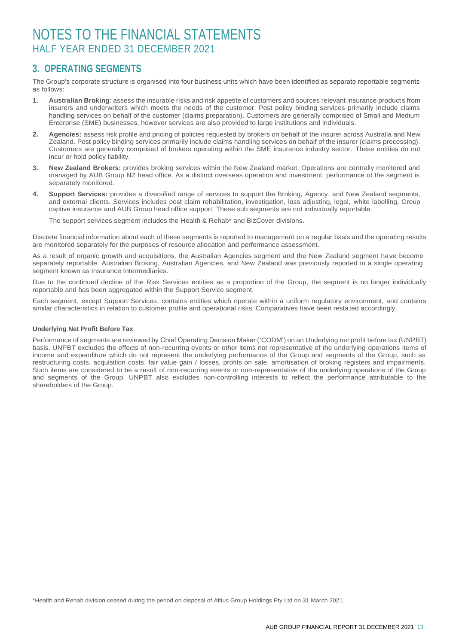### **3. OPERATING SEGMENTS**

The Group's corporate structure is organised into four business units which have been identified as separate reportable segments as follows:

- **1. Australian Broking**: assess the insurable risks and risk appetite of customers and sources relevant insurance products from insurers and underwriters which meets the needs of the customer. Post policy binding services primarily include claims handling services on behalf of the customer (claims preparation). Customers are generally comprised of Small and Medium Enterprise (SME) businesses, however services are also provided to large institutions and individuals.
- **2. Agencies:** assess risk profile and pricing of policies requested by brokers on behalf of the insurer across Australia and New Zealand. Post policy binding services primarily include claims handling services on behalf of the insurer (claims processing). Customers are generally comprised of brokers operating within the SME insurance industry sector. These entities do not incur or hold policy liability.
- **3. New Zealand Brokers:** provides broking services within the New Zealand market. Operations are centrally monitored and managed by AUB Group NZ head office. As a distinct overseas operation and investment, performance of the segment is separately monitored.
- **4. Support Services:** provides a diversified range of services to support the Broking, Agency, and New Zealand segments, and external clients. Services includes post claim rehabilitation, investigation, loss adjusting, legal, white labelling, Group captive insurance and AUB Group head office support. These sub segments are not individually reportable.

The support services segment includes the Health & Rehab\* and BizCover divisions.

Discrete financial information about each of these segments is reported to management on a regular basis and the operating results are monitored separately for the purposes of resource allocation and performance assessment.

As a result of organic growth and acquisitions, the Australian Agencies segment and the New Zealand segment have become separately reportable. Australian Broking, Australian Agencies, and New Zealand was previously reported in a single operating segment known as Insurance Intermediaries.

Due to the continued decline of the Risk Services entities as a proportion of the Group, the segment is no longer individually reportable and has been aggregated within the Support Service segment.

Each segment, except Support Services, contains entities which operate within a uniform regulatory environment, and contains similar characteristics in relation to customer profile and operational risks. Comparatives have been restated accordingly.

#### **Underlying Net Profit Before Tax**

Performance of segments are reviewed by Chief Operating Decision Maker ('CODM') on an Underlying net profit before tax (UNPBT) basis. UNPBT excludes the effects of non-recurring events or other items not representative of the underlying operations items of income and expenditure which do not represent the underlying performance of the Group and segments of the Group, such as restructuring costs, acquisition costs, fair value gain / losses, profits on sale, amortisation of broking registers and impairments. Such items are considered to be a result of non-recurring events or non-representative of the underlying operations of the Group and segments of the Group. UNPBT also excludes non-controlling interests to reflect the performance attributable to the shareholders of the Group.

\*Health and Rehab division ceased during the period on disposal of Altius Group Holdings Pty Ltd on 31 March 2021.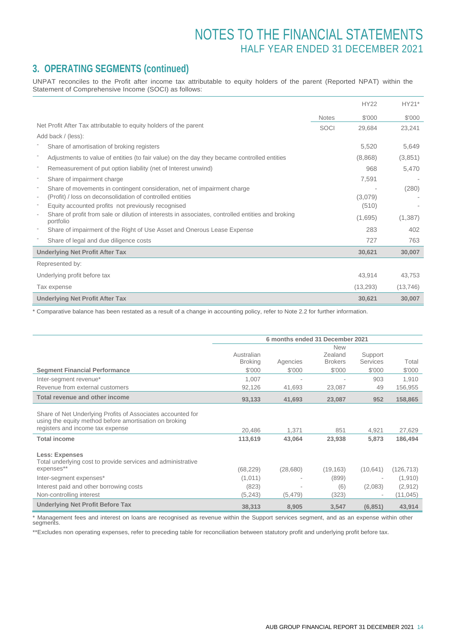### **3. OPERATING SEGMENTS (continued)**

UNPAT reconciles to the Profit after income tax attributable to equity holders of the parent (Reported NPAT) within the Statement of Comprehensive Income (SOCI) as follows:

|                                                                                                                                            |              | <b>HY22</b> | HY21*     |
|--------------------------------------------------------------------------------------------------------------------------------------------|--------------|-------------|-----------|
|                                                                                                                                            | <b>Notes</b> | \$'000      | \$'000    |
| Net Profit After Tax attributable to equity holders of the parent                                                                          | SOCI         | 29,684      | 23,241    |
| Add back / (less):                                                                                                                         |              |             |           |
| Share of amortisation of broking registers                                                                                                 |              | 5,520       | 5,649     |
| Adjustments to value of entities (to fair value) on the day they became controlled entities                                                |              | (8,868)     | (3,851)   |
| Remeasurement of put option liability (net of Interest unwind)                                                                             |              | 968         | 5,470     |
| Share of impairment charge<br>$\overline{\phantom{a}}$                                                                                     |              | 7,591       |           |
| Share of movements in contingent consideration, net of impairment charge<br>$\overline{\phantom{a}}$                                       |              |             | (280)     |
| (Profit) / loss on deconsolidation of controlled entities<br>$\overline{\phantom{a}}$                                                      |              | (3,079)     |           |
| Equity accounted profits not previously recognised<br>$\overline{\phantom{a}}$                                                             |              | (510)       |           |
| Share of profit from sale or dilution of interests in associates, controlled entities and broking<br>$\overline{\phantom{a}}$<br>portfolio |              | (1,695)     | (1,387)   |
| Share of impairment of the Right of Use Asset and Onerous Lease Expense                                                                    |              | 283         | 402       |
| Share of legal and due diligence costs                                                                                                     |              | 727         | 763       |
| <b>Underlying Net Profit After Tax</b>                                                                                                     |              | 30,621      | 30,007    |
| Represented by:                                                                                                                            |              |             |           |
| Underlying profit before tax                                                                                                               |              | 43,914      | 43,753    |
| Tax expense                                                                                                                                |              | (13, 293)   | (13, 746) |
| <b>Underlying Net Profit After Tax</b>                                                                                                     |              | 30,621      | 30,007    |

\* Comparative balance has been restated as a result of a change in accounting policy, refer to Note 2.2 for further information.

|                                                                                                                                                           |                |          | 6 months ended 31 December 2021 |                 |            |
|-----------------------------------------------------------------------------------------------------------------------------------------------------------|----------------|----------|---------------------------------|-----------------|------------|
|                                                                                                                                                           |                |          | <b>New</b>                      |                 |            |
|                                                                                                                                                           | Australian     |          | Zealand                         | Support         |            |
|                                                                                                                                                           | <b>Broking</b> | Agencies | <b>Brokers</b>                  | <b>Services</b> | Total      |
| <b>Segment Financial Performance</b>                                                                                                                      | \$'000         | \$'000   | \$'000                          | \$'000          | \$'000     |
| Inter-segment revenue*                                                                                                                                    | 1,007          |          |                                 | 903             | 1,910      |
| Revenue from external customers                                                                                                                           | 92,126         | 41.693   | 23,087                          | 49              | 156,955    |
| <b>Total revenue and other income</b>                                                                                                                     | 93,133         | 41,693   | 23,087                          | 952             | 158,865    |
| Share of Net Underlying Profits of Associates accounted for<br>using the equity method before amortisation on broking<br>registers and income tax expense | 20,486         | 1,371    | 851                             | 4,921           | 27,629     |
| <b>Total income</b>                                                                                                                                       | 113,619        | 43,064   | 23,938                          | 5,873           | 186,494    |
| <b>Less: Expenses</b><br>Total underlying cost to provide services and administrative<br>expenses**                                                       | (68, 229)      | (28,680) | (19, 163)                       | (10, 641)       | (126, 713) |
| Inter-segment expenses*                                                                                                                                   | (1,011)        |          | (899)                           |                 | (1, 910)   |
| Interest paid and other borrowing costs                                                                                                                   | (823)          |          | (6)                             | (2,083)         | (2,912)    |
| Non-controlling interest                                                                                                                                  | (5,243)        | (5, 479) | (323)                           | $\blacksquare$  | (11, 045)  |
| <b>Underlying Net Profit Before Tax</b>                                                                                                                   | 38,313         | 8.905    | 3,547                           | (6, 851)        | 43,914     |

\* Management fees and interest on loans are recognised as revenue within the Support services segment, and as an expense within other segments.

\*\*Excludes non operating expenses, refer to preceding table for reconciliation between statutory profit and underlying profit before tax.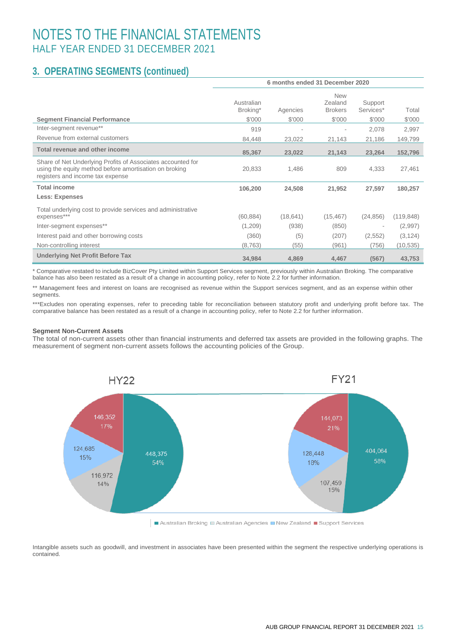### **3. OPERATING SEGMENTS (continued)**

|                                                                                                                                                           |                                  |                    | 6 months ended 31 December 2020                   |                                |                 |
|-----------------------------------------------------------------------------------------------------------------------------------------------------------|----------------------------------|--------------------|---------------------------------------------------|--------------------------------|-----------------|
| <b>Segment Financial Performance</b>                                                                                                                      | Australian<br>Broking*<br>\$'000 | Agencies<br>\$'000 | <b>New</b><br>Zealand<br><b>Brokers</b><br>\$'000 | Support<br>Services*<br>\$'000 | Total<br>\$'000 |
| Inter-segment revenue**                                                                                                                                   |                                  |                    |                                                   |                                |                 |
|                                                                                                                                                           | 919                              |                    |                                                   | 2,078                          | 2,997           |
| Revenue from external customers                                                                                                                           | 84,448                           | 23,022             | 21,143                                            | 21,186                         | 149,799         |
| Total revenue and other income                                                                                                                            | 85,367                           | 23,022             | 21,143                                            | 23,264                         | 152,796         |
| Share of Net Underlying Profits of Associates accounted for<br>using the equity method before amortisation on broking<br>registers and income tax expense | 20,833                           | 1,486              | 809                                               | 4,333                          | 27,461          |
| <b>Total income</b>                                                                                                                                       | 106,200                          | 24,508             | 21,952                                            | 27,597                         | 180,257         |
| <b>Less: Expenses</b>                                                                                                                                     |                                  |                    |                                                   |                                |                 |
| Total underlying cost to provide services and administrative<br>expenses***                                                                               | (60, 884)                        | (18, 641)          | (15, 467)                                         | (24, 856)                      | (119, 848)      |
| Inter-segment expenses**                                                                                                                                  | (1,209)                          | (938)              | (850)                                             |                                | (2,997)         |
| Interest paid and other borrowing costs                                                                                                                   | (360)                            | (5)                | (207)                                             | (2, 552)                       | (3, 124)        |
| Non-controlling interest                                                                                                                                  | (8, 763)                         | (55)               | (961)                                             | (756)                          | (10, 535)       |
| <b>Underlying Net Profit Before Tax</b>                                                                                                                   | 34,984                           | 4,869              | 4,467                                             | (567)                          | 43,753          |

\* Comparative restated to include BizCover Pty Limited within Support Services segment, previously within Australian Broking. The comparative balance has also been restated as a result of a change in accounting policy, refer to Note 2.2 for further information.

\*\* Management fees and interest on loans are recognised as revenue within the Support services segment, and as an expense within other segments.

\*\*\*Excludes non operating expenses, refer to preceding table for reconciliation between statutory profit and underlying profit before tax. The comparative balance has been restated as a result of a change in accounting policy, refer to Note 2.2 for further information.

#### **Segment Non-Current Assets**

The total of non-current assets other than financial instruments and deferred tax assets are provided in the following graphs. The measurement of segment non-current assets follows the accounting policies of the Group.



Australian Broking Australian Agencies New Zealand Bupport Services

Intangible assets such as goodwill, and investment in associates have been presented within the segment the respective underlying operations is contained.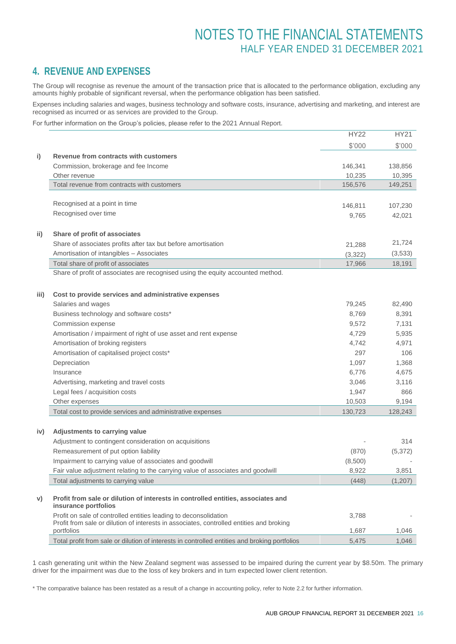### **4. REVENUE AND EXPENSES**

The Group will recognise as revenue the amount of the transaction price that is allocated to the performance obligation, excluding any amounts highly probable of significant reversal, when the performance obligation has been satisfied.

Expenses including salaries and wages, business technology and software costs, insurance, advertising and marketing, and interest are recognised as incurred or as services are provided to the Group.

For further information on the Group's policies, please refer to the 2021 Annual Report.

|      |                                                                                                          | <b>HY22</b> | <b>HY21</b> |
|------|----------------------------------------------------------------------------------------------------------|-------------|-------------|
|      |                                                                                                          | \$'000      | \$'000      |
| i)   | Revenue from contracts with customers                                                                    |             |             |
|      | Commission, brokerage and fee Income                                                                     | 146,341     | 138,856     |
|      | Other revenue                                                                                            | 10,235      | 10,395      |
|      | Total revenue from contracts with customers                                                              | 156,576     | 149,251     |
|      |                                                                                                          |             |             |
|      | Recognised at a point in time                                                                            | 146,811     | 107,230     |
|      | Recognised over time                                                                                     | 9,765       | 42,021      |
|      |                                                                                                          |             |             |
| ii)  | Share of profit of associates                                                                            |             |             |
|      | Share of associates profits after tax but before amortisation                                            | 21,288      | 21,724      |
|      | Amortisation of intangibles - Associates                                                                 | (3,322)     | (3, 533)    |
|      | Total share of profit of associates                                                                      | 17,966      | 18,191      |
|      | Share of profit of associates are recognised using the equity accounted method.                          |             |             |
|      |                                                                                                          |             |             |
| iii) | Cost to provide services and administrative expenses                                                     |             |             |
|      | Salaries and wages                                                                                       | 79,245      | 82,490      |
|      | Business technology and software costs*                                                                  | 8,769       | 8,391       |
|      | Commission expense                                                                                       | 9,572       | 7,131       |
|      | Amortisation / impairment of right of use asset and rent expense                                         | 4,729       | 5,935       |
|      | Amortisation of broking registers                                                                        | 4,742       | 4,971       |
|      | Amortisation of capitalised project costs*                                                               | 297         | 106         |
|      | Depreciation                                                                                             | 1,097       | 1,368       |
|      | Insurance                                                                                                | 6,776       | 4,675       |
|      | Advertising, marketing and travel costs                                                                  | 3,046       | 3,116       |
|      | Legal fees / acquisition costs                                                                           | 1,947       | 866         |
|      | Other expenses                                                                                           | 10,503      | 9,194       |
|      | Total cost to provide services and administrative expenses                                               | 130,723     | 128,243     |
|      |                                                                                                          |             |             |
| iv)  | Adjustments to carrying value                                                                            |             |             |
|      | Adjustment to contingent consideration on acquisitions                                                   |             | 314         |
|      | Remeasurement of put option liability                                                                    | (870)       | (5, 372)    |
|      | Impairment to carrying value of associates and goodwill                                                  | (8,500)     |             |
|      | Fair value adjustment relating to the carrying value of associates and goodwill                          | 8,922       | 3,851       |
|      | Total adjustments to carrying value                                                                      | (448)       | (1,207)     |
|      |                                                                                                          |             |             |
| V)   | Profit from sale or dilution of interests in controlled entities, associates and<br>insurance portfolios |             |             |
|      | Profit on sale of controlled entities leading to deconsolidation                                         | 3,788       |             |
|      | Profit from sale or dilution of interests in associates, controlled entities and broking                 |             |             |
|      | portfolios                                                                                               | 1,687       | 1,046       |
|      | Total profit from sale or dilution of interests in controlled entities and broking portfolios            | 5,475       | 1,046       |

1 cash generating unit within the New Zealand segment was assessed to be impaired during the current year by \$8.50m. The primary driver for the impairment was due to the loss of key brokers and in turn expected lower client retention.

\* The comparative balance has been restated as a result of a change in accounting policy, refer to Note 2.2 for further information.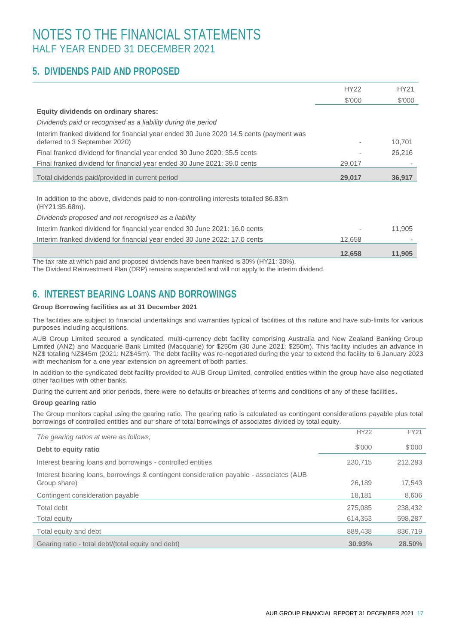### **5. DIVIDENDS PAID AND PROPOSED**

|                                                                                                                         | <b>HY22</b> | <b>HY21</b> |
|-------------------------------------------------------------------------------------------------------------------------|-------------|-------------|
|                                                                                                                         | \$'000      | \$'000      |
| Equity dividends on ordinary shares:                                                                                    |             |             |
| Dividends paid or recognised as a liability during the period                                                           |             |             |
| Interim franked dividend for financial year ended 30 June 2020 14.5 cents (payment was<br>deferred to 3 September 2020) |             | 10,701      |
| Final franked dividend for financial year ended 30 June 2020: 35.5 cents                                                |             | 26,216      |
| Final franked dividend for financial year ended 30 June 2021: 39.0 cents                                                | 29,017      |             |
| Total dividends paid/provided in current period                                                                         | 29,017      | 36,917      |
|                                                                                                                         |             |             |
| In addition to the above, dividends paid to non-controlling interests totalled \$6.83m<br>(HY21:\$5.68m).               |             |             |
| Dividends proposed and not recognised as a liability                                                                    |             |             |
| Interim franked dividend for financial year ended 30 June 2021: 16.0 cents                                              |             | 11,905      |
| Interim franked dividend for financial year ended 30 June 2022: 17.0 cents                                              | 12,658      |             |
|                                                                                                                         | 12,658      | 11,905      |
| The tax rate at which paid and proposed dividends have been franked is 30% (HY21: 30%).                                 |             |             |

The Dividend Reinvestment Plan (DRP) remains suspended and will not apply to the interim dividend.

### **6. INTEREST BEARING LOANS AND BORROWINGS**

#### **Group Borrowing facilities as at 31 December 2021**

The facilities are subject to financial undertakings and warranties typical of facilities of this nature and have sub-limits for various purposes including acquisitions.

AUB Group Limited secured a syndicated, multi-currency debt facility comprising Australia and New Zealand Banking Group Limited (ANZ) and Macquarie Bank Limited (Macquarie) for \$250m (30 June 2021: \$250m). This facility includes an advance in NZ\$ totaling NZ\$45m (2021: NZ\$45m). The debt facility was re-negotiated during the year to extend the facility to 6 January 2023 with mechanism for a one year extension on agreement of both parties.

In addition to the syndicated debt facility provided to AUB Group Limited, controlled entities within the group have also neg otiated other facilities with other banks.

During the current and prior periods, there were no defaults or breaches of terms and conditions of any of these facilities.

#### **Group gearing ratio**

The Group monitors capital using the gearing ratio. The gearing ratio is calculated as contingent considerations payable plus total borrowings of controlled entities and our share of total borrowings of associates divided by total equity.

| The gearing ratios at were as follows:                                                                  | <b>HY22</b> | <b>FY21</b> |
|---------------------------------------------------------------------------------------------------------|-------------|-------------|
| Debt to equity ratio                                                                                    | \$'000      | \$'000      |
| Interest bearing loans and borrowings - controlled entities                                             | 230.715     | 212,283     |
| Interest bearing loans, borrowings & contingent consideration payable - associates (AUB<br>Group share) | 26,189      | 17,543      |
| Contingent consideration payable                                                                        | 18.181      | 8,606       |
| Total debt                                                                                              | 275.085     | 238,432     |
| Total equity                                                                                            | 614,353     | 598,287     |
| Total equity and debt                                                                                   | 889,438     | 836,719     |
| Gearing ratio - total debt/(total equity and debt)                                                      | 30.93%      | 28.50%      |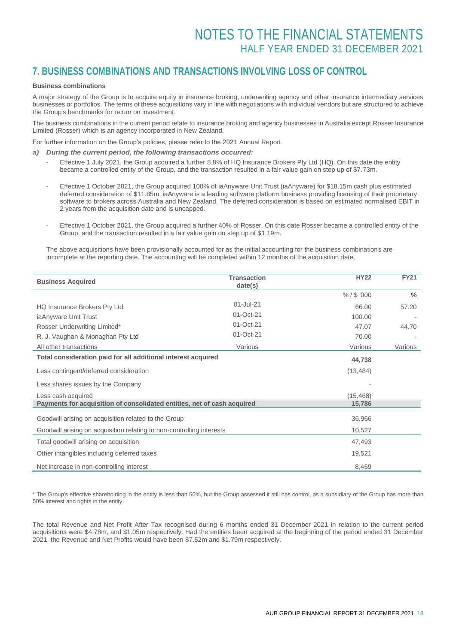### **7. BUSINESS COMBINATIONS AND TRANSACTIONS INVOLVING LOSS OF CONTROL**

#### **Business combinations**

j.

A major strategy of the Group is to acquire equity in insurance broking, underwriting agency and other insurance intermediary services businesses or portfolios. The terms of these acquisitions vary in line with negotiations with individual vendors but are structured to achieve the Group's benchmarks for return on investment.

The business combinations in the current period relate to insurance broking and agency businesses in Australia except Rosser Insurance Limited (Rosser) which is an agency incorporated in New Zealand.

For further information on the Group's policies, please refer to the 2021 Annual Report.

- *a) During the current period, the following transactions occurred:*
	- Effective 1 July 2021, the Group acquired a further 8.8% of HQ Insurance Brokers Pty Ltd (HQ). On this date the entity became a controlled entity of the Group, and the transaction resulted in a fair value gain on step up of \$7.73m.
	- Effective 1 October 2021, the Group acquired 100% of iaAnyware Unit Trust (iaAnyware) for \$18.15m cash plus estimated deferred consideration of \$11.85m. iaAnyware is a leading software platform business providing licensing of their proprietary software to brokers across Australia and New Zealand. The deferred consideration is based on estimated normalised EBIT in 2 years from the acquisition date and is uncapped.
	- Effective 1 October 2021, the Group acquired a further 40% of Rosser. On this date Rosser became a controlled entity of the Group, and the transaction resulted in a fair value gain on step up of \$1.19m.

The above acquisitions have been provisionally accounted for as the initial accounting for the business combinations are incomplete at the reporting date. The accounting will be completed within 12 months of the acquisition date.

| <b>Business Acquired</b>                                                | <b>Transaction</b><br>date(s) | <b>HY22</b>   | <b>FY21</b> |
|-------------------------------------------------------------------------|-------------------------------|---------------|-------------|
|                                                                         |                               | $% /$ \$ '000 | $\%$        |
| HQ Insurance Brokers Pty Ltd                                            | 01-Jul-21                     | 66.00         | 57.20       |
| iaAnyware Unit Trust                                                    | 01-Oct-21                     | 100.00        |             |
| Rosser Underwriting Limited*                                            | 01-Oct-21                     | 47.07         | 44.70       |
| R. J. Vaughan & Monaghan Pty Ltd                                        | 01-Oct-21                     | 70.00         |             |
| All other transactions                                                  | Various                       | Various       | Various     |
| Total consideration paid for all additional interest acquired           |                               | 44,738        |             |
| Less contingent/deferred consideration                                  |                               | (13, 484)     |             |
| Less shares issues by the Company                                       |                               |               |             |
| Less cash acquired                                                      |                               | (15, 468)     |             |
| Payments for acquisition of consolidated entities, net of cash acquired |                               | 15,786        |             |
| Goodwill arising on acquisition related to the Group                    |                               | 36,966        |             |
| Goodwill arising on acquisition relating to non-controlling interests   |                               | 10,527        |             |
| Total goodwill arising on acquisition                                   |                               | 47,493        |             |
| Other intangibles including deferred taxes                              |                               | 19,521        |             |
| Net increase in non-controlling interest                                |                               | 8,469         |             |

\* The Group's effective shareholding in the entity is less than 50%, but the Group assessed it still has control, as a subsidiary of the Group has more than 50% interest and rights in the entity.

The total Revenue and Net Profit After Tax recognised during 6 months ended 31 December 2021 in relation to the current period acquisitions were \$4.78m, and \$1.05m respectively. Had the entities been acquired at the beginning of the period ended 31 December 2021, the Revenue and Net Profits would have been \$7.52m and \$1.79m respectively.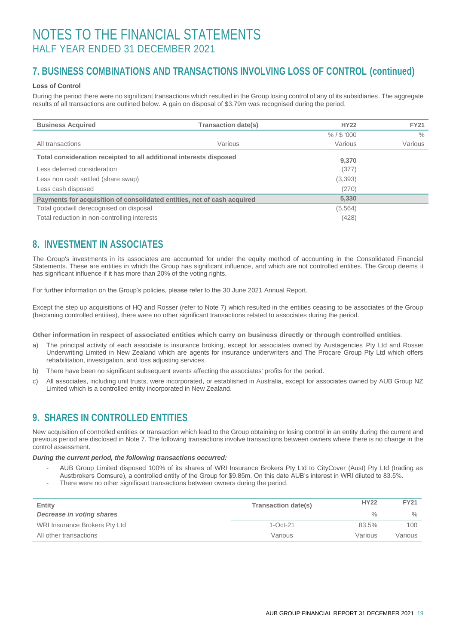### **7. BUSINESS COMBINATIONS AND TRANSACTIONS INVOLVING LOSS OF CONTROL (continued)**

#### **Loss of Control**

During the period there were no significant transactions which resulted in the Group losing control of any of its subsidiaries. The aggregate results of all transactions are outlined below. A gain on disposal of \$3.79m was recognised during the period.

| <b>Business Acquired</b>                                                | <b>Transaction date(s)</b> | <b>HY22</b>   | <b>FY21</b>   |
|-------------------------------------------------------------------------|----------------------------|---------------|---------------|
|                                                                         |                            | $% /$ \$ '000 | $\frac{0}{0}$ |
| All transactions                                                        | Various                    | Various       | Various       |
| Total consideration receipted to all additional interests disposed      |                            | 9,370         |               |
| Less deferred consideration                                             |                            | (377)         |               |
| Less non cash settled (share swap)                                      |                            | (3,393)       |               |
| Less cash disposed                                                      |                            | (270)         |               |
| Payments for acquisition of consolidated entities, net of cash acquired |                            | 5,330         |               |
| Total goodwill derecognised on disposal                                 |                            | (5,564)       |               |
| Total reduction in non-controlling interests                            |                            | (428)         |               |

### **8. INVESTMENT IN ASSOCIATES**

The Group's investments in its associates are accounted for under the equity method of accounting in the Consolidated Financial Statements. These are entities in which the Group has significant influence, and which are not controlled entities. The Group deems it has significant influence if it has more than 20% of the voting rights.

For further information on the Group's policies, please refer to the 30 June 2021 Annual Report.

Except the step up acquisitions of HQ and Rosser (refer to Note 7) which resulted in the entities ceasing to be associates of the Group (becoming controlled entities), there were no other significant transactions related to associates during the period.

**Other information in respect of associated entities which carry on business directly or through controlled entities**.

- a) The principal activity of each associate is insurance broking, except for associates owned by Austagencies Pty Ltd and Rosser Underwriting Limited in New Zealand which are agents for insurance underwriters and The Procare Group Pty Ltd which offers rehabilitation, investigation, and loss adjusting services.
- b) There have been no significant subsequent events affecting the associates' profits for the period.
- c) All associates, including unit trusts, were incorporated, or established in Australia, except for associates owned by AUB Group NZ Limited which is a controlled entity incorporated in New Zealand.

### **9. SHARES IN CONTROLLED ENTITIES**

New acquisition of controlled entities or transaction which lead to the Group obtaining or losing control in an entity during the current and previous period are disclosed in Note 7. The following transactions involve transactions between owners where there is no change in the control assessment.

#### *During the current period, the following transactions occurred:*

- AUB Group Limited disposed 100% of its shares of WRI Insurance Brokers Pty Ltd to CityCover (Aust) Pty Ltd (trading as Austbrokers Comsure), a controlled entity of the Group for \$9.85m. On this date AUB's interest in WRI diluted to 83.5%.
- There were no other significant transactions between owners during the period.

| Entity                           | <b>Transaction date(s)</b> | <b>HY22</b>   | <b>FY21</b> |
|----------------------------------|----------------------------|---------------|-------------|
| <b>Decrease in voting shares</b> |                            | $\frac{0}{0}$ | $\%$        |
| WRI Insurance Brokers Pty Ltd    | $1-Oct-21$                 | 83.5%         | 100         |
| All other transactions           | Various                    | Various       | Various     |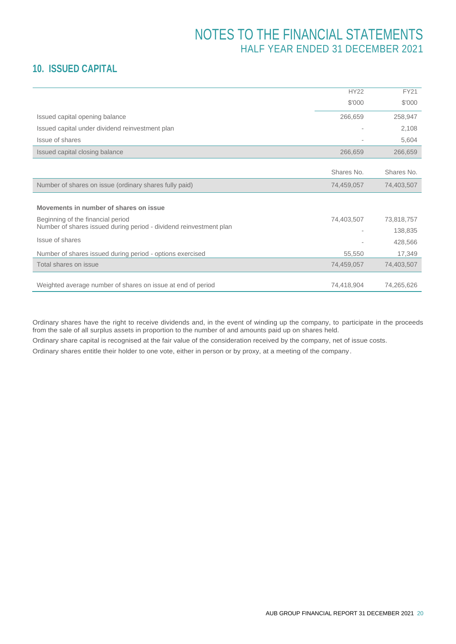### **10. ISSUED CAPITAL**

|                                                                    | <b>HY22</b>    | <b>FY21</b> |
|--------------------------------------------------------------------|----------------|-------------|
|                                                                    | \$'000         | \$'000      |
| Issued capital opening balance                                     | 266,659        | 258,947     |
| Issued capital under dividend reinvestment plan                    | $\overline{a}$ | 2,108       |
| Issue of shares                                                    |                | 5,604       |
| Issued capital closing balance                                     | 266,659        | 266,659     |
|                                                                    | Shares No.     | Shares No.  |
| Number of shares on issue (ordinary shares fully paid)             | 74,459,057     | 74,403,507  |
|                                                                    |                |             |
| Movements in number of shares on issue                             |                |             |
| Beginning of the financial period                                  | 74,403,507     | 73,818,757  |
| Number of shares issued during period - dividend reinvestment plan |                | 138,835     |
| Issue of shares                                                    |                | 428,566     |
| Number of shares issued during period - options exercised          | 55,550         | 17,349      |
| Total shares on issue                                              | 74,459,057     | 74,403,507  |
| Weighted average number of shares on issue at end of period        | 74,418,904     | 74,265,626  |
|                                                                    |                |             |

Ordinary shares have the right to receive dividends and, in the event of winding up the company, to participate in the proceeds from the sale of all surplus assets in proportion to the number of and amounts paid up on shares held.

Ordinary share capital is recognised at the fair value of the consideration received by the company, net of issue costs.

Ordinary shares entitle their holder to one vote, either in person or by proxy, at a meeting of the company.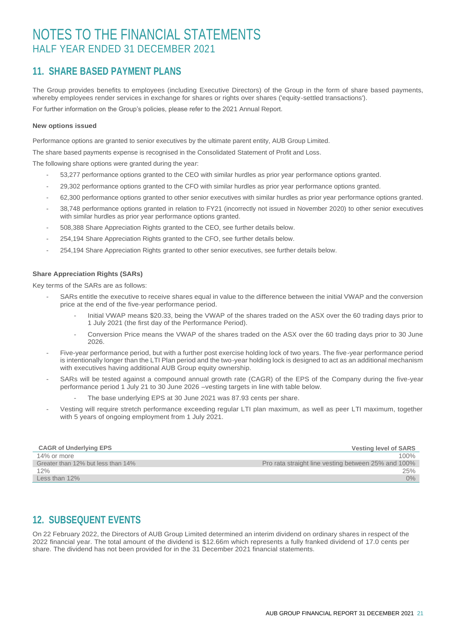### **11. SHARE BASED PAYMENT PLANS**

The Group provides benefits to employees (including Executive Directors) of the Group in the form of share based payments, whereby employees render services in exchange for shares or rights over shares ('equity-settled transactions'). For further information on the Group's policies, please refer to the 2021 Annual Report.

#### **New options issued**

Performance options are granted to senior executives by the ultimate parent entity, AUB Group Limited.

The share based payments expense is recognised in the Consolidated Statement of Profit and Loss.

The following share options were granted during the year:

- 53,277 performance options granted to the CEO with similar hurdles as prior year performance options granted.
- 29,302 performance options granted to the CFO with similar hurdles as prior year performance options granted.
- 62,300 performance options granted to other senior executives with similar hurdles as prior year performance options granted.
- 38,748 performance options granted in relation to FY21 (incorrectly not issued in November 2020) to other senior executives with similar hurdles as prior year performance options granted.
- 508,388 Share Appreciation Rights granted to the CEO, see further details below.
- 254,194 Share Appreciation Rights granted to the CFO, see further details below.
- 254,194 Share Appreciation Rights granted to other senior executives, see further details below.

#### **Share Appreciation Rights (SARs)**

Key terms of the SARs are as follows:

- SARs entitle the executive to receive shares equal in value to the difference between the initial VWAP and the conversion price at the end of the five-year performance period.
	- Initial VWAP means \$20.33, being the VWAP of the shares traded on the ASX over the 60 trading days prior to 1 July 2021 (the first day of the Performance Period).
	- Conversion Price means the VWAP of the shares traded on the ASX over the 60 trading days prior to 30 June 2026.
- Five-year performance period, but with a further post exercise holding lock of two years. The five-year performance period is intentionally longer than the LTI Plan period and the two-year holding lock is designed to act as an additional mechanism with executives having additional AUB Group equity ownership.
- SARs will be tested against a compound annual growth rate (CAGR) of the EPS of the Company during the five-year performance period 1 July 21 to 30 June 2026 –vesting targets in line with table below.
	- The base underlying EPS at 30 June 2021 was 87.93 cents per share.
- Vesting will require stretch performance exceeding regular LTI plan maximum, as well as peer LTI maximum, together with 5 years of ongoing employment from 1 July 2021.

| <b>CAGR of Underlying EPS</b>      | <b>Vesting level of SARS</b>                        |
|------------------------------------|-----------------------------------------------------|
| 14% or more                        | 100%                                                |
| Greater than 12% but less than 14% | Pro rata straight line vesting between 25% and 100% |
| 12%                                | 25%                                                 |
| Less than $12\%$                   | 0%                                                  |

### **12. SUBSEQUENT EVENTS**

On 22 February 2022, the Directors of AUB Group Limited determined an interim dividend on ordinary shares in respect of the 2022 financial year. The total amount of the dividend is \$12.66m which represents a fully franked dividend of 17.0 cents per share. The dividend has not been provided for in the 31 December 2021 financial statements.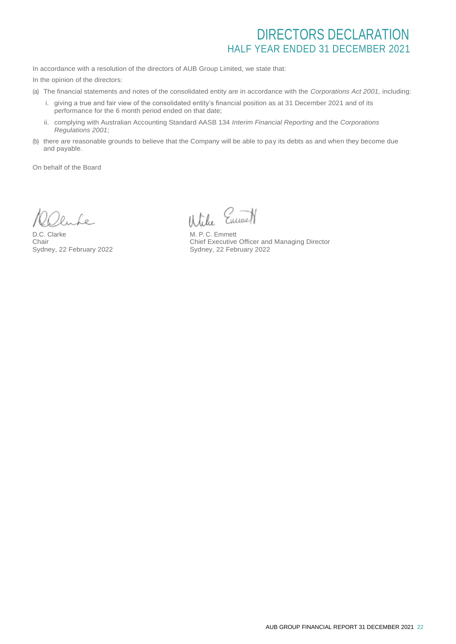## DIRECTORS DECLARATION HALF YEAR ENDED 31 DECEMBER 2021

In accordance with a resolution of the directors of AUB Group Limited, we state that:

In the opinion of the directors:

- (a) The financial statements and notes of the consolidated entity are in accordance with the *Corporations Act 2001,* including:
	- i. giving a true and fair view of the consolidated entity's financial position as at 31 December 2021 and of its performance for the 6 month period ended on that date;
	- ii. complying with Australian Accounting Standard AASB 134 *Interim Financial Reporting* and the *Corporations Regulations 2001*;
- (b) there are reasonable grounds to believe that the Company will be able to pay its debts as and when they become due and payable.

On behalf of the Board

Le.

D.C. Clarke Chair Sydney, 22 February 2022

Wike Emmet

M. P. C. Emmett Chief Executive Officer and Managing Director Sydney, 22 February 2022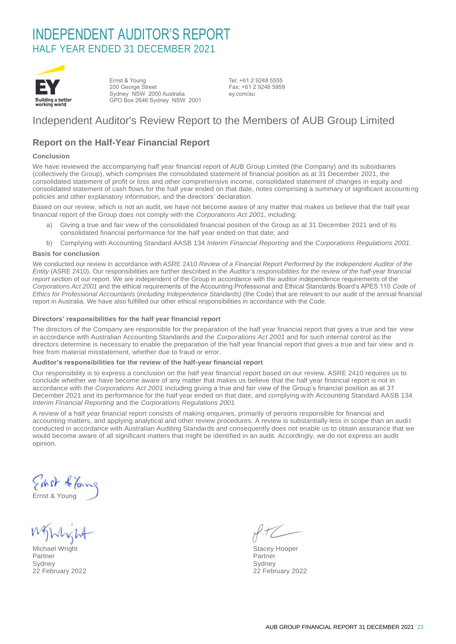## INDEPENDENT AUDITOR'S REPORT HALF YEAR ENDED 31 DECEMBER 2021



Ernst & Young 200 George Street Sydney NSW 2000 Australia GPO Box 2646 Sydney NSW 2001

Tel: +61 2 9248 5555 Fax: +61 2 9248 5959 ey.com/au

### Independent Auditor's Review Report to the Members of AUB Group Limited

### **Report on the Half-Year Financial Report**

#### **Conclusion**

We have reviewed the accompanying half year financial report of AUB Group Limited (the Company) and its subsidiaries (collectively the Group), which comprises the consolidated statement of financial position as at 31 December 2021, the consolidated statement of profit or loss and other comprehensive income, consolidated statement of changes in equity and consolidated statement of cash flows for the half year ended on that date, notes comprising a summary of significant accounti ng policies and other explanatory information, and the directors' declaration.

Based on our review, which is not an audit, we have not become aware of any matter that makes us believe that the half year financial report of the Group does not comply with the *Corporations Act 2001*, including:

- a) Giving a true and fair view of the consolidated financial position of the Group as at 31 December 2021 and of its consolidated financial performance for the half year ended on that date; and
- b) Complying with Accounting Standard AASB 134 *Interim Financial Reporting* and the *Corporations Regulations 2001*.

#### **Basis for conclusion**

We conducted our review in accordance with ASRE 2410 *Review of a Financial Report Performed by the Independent Auditor of the Entity* (ASRE 2410). Our responsibilities are further described in the *Auditor's responsibilities for the review of the half-year financial report* section of our report. We are independent of the Group in accordance with the auditor independence requirements of the *Corporations Act 2001* and the ethical requirements of the Accounting Professional and Ethical Standards Board's APES 110 *Code of Ethics for Professional Accountants* (*including Independence Standards)* (the Code) that are relevant to our audit of the annual financial report in Australia. We have also fulfilled our other ethical responsibilities in accordance with the Code.

#### **Directors' responsibilities for the half year financial report**

The directors of the Company are responsible for the preparation of the half year financial report that gives a true and fair view in accordance with Australian Accounting Standards and the *Corporations Act 2001* and for such internal control as the directors determine is necessary to enable the preparation of the half year financial report that gives a true and fair view and is free from material misstatement, whether due to fraud or error.

#### **Auditor's responsibilities for the review of the half-year financial report**

Our responsibility is to express a conclusion on the half year financial report based on our review. ASRE 2410 requires us to conclude whether we have become aware of any matter that makes us believe that the half year financial report is not in accordance with the *Corporations Act 2001* including giving a true and fair view of the Group's financial position as at 31 December 2021 and its performance for the half year ended on that date, and complying with Accounting Standard AASB 134 *Interim Financial Reporting* and the *Corporations Regulations 2001.*

A review of a half year financial report consists of making enquiries, primarily of persons responsible for financial and accounting matters, and applying analytical and other review procedures. A review is substantially less in scope than an audit conducted in accordance with Australian Auditing Standards and consequently does not enable us to obtain assurance that we would become aware of all significant matters that might be identified in an audit. Accordingly, we do not express an audit opinion.

Einst & Toung

Ernst & Young

Michael Wright **Stacey Hooper**<br>
Partner Partner<br>
Partner Partner Partner Partner Partner Partner Sydney Sydney 22 February 2022 22 February 2022